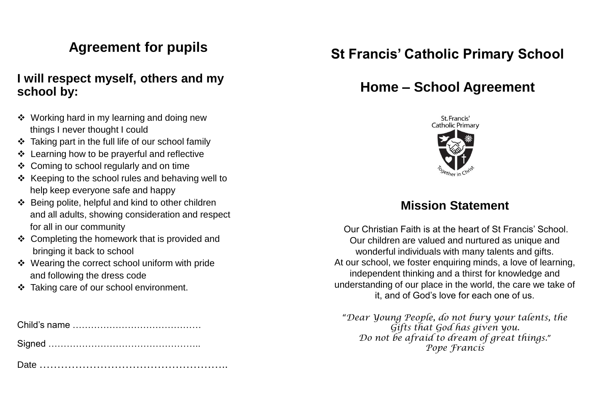# **Agreement for pupils**

### **I will respect myself, others and my school by:**

- ❖ Working hard in my learning and doing new things I never thought I could
- Taking part in the full life of our school family
- Learning how to be prayerful and reflective
- Coming to school regularly and on time
- $\triangle$  Keeping to the school rules and behaving well to help keep everyone safe and happy
- Being polite, helpful and kind to other children and all adults, showing consideration and respect for all in our community
- ❖ Completing the homework that is provided and bringing it back to school
- ❖ Wearing the correct school uniform with pride and following the dress code
- Taking care of our school environment.

## **St Francis' Catholic Primary School**

## **Home – School Agreement**



## **Mission Statement**

Our Christian Faith is at the heart of St Francis' School. Our children are valued and nurtured as unique and wonderful individuals with many talents and gifts. At our school, we foster enquiring minds, a love of learning, independent thinking and a thirst for knowledge and understanding of our place in the world, the care we take of it, and of God's love for each one of us.

"*Dear Young People, do not bury your talents, the Gifts that God has given you. Do not be afraid to dream of great things.*" *Pope Francis*